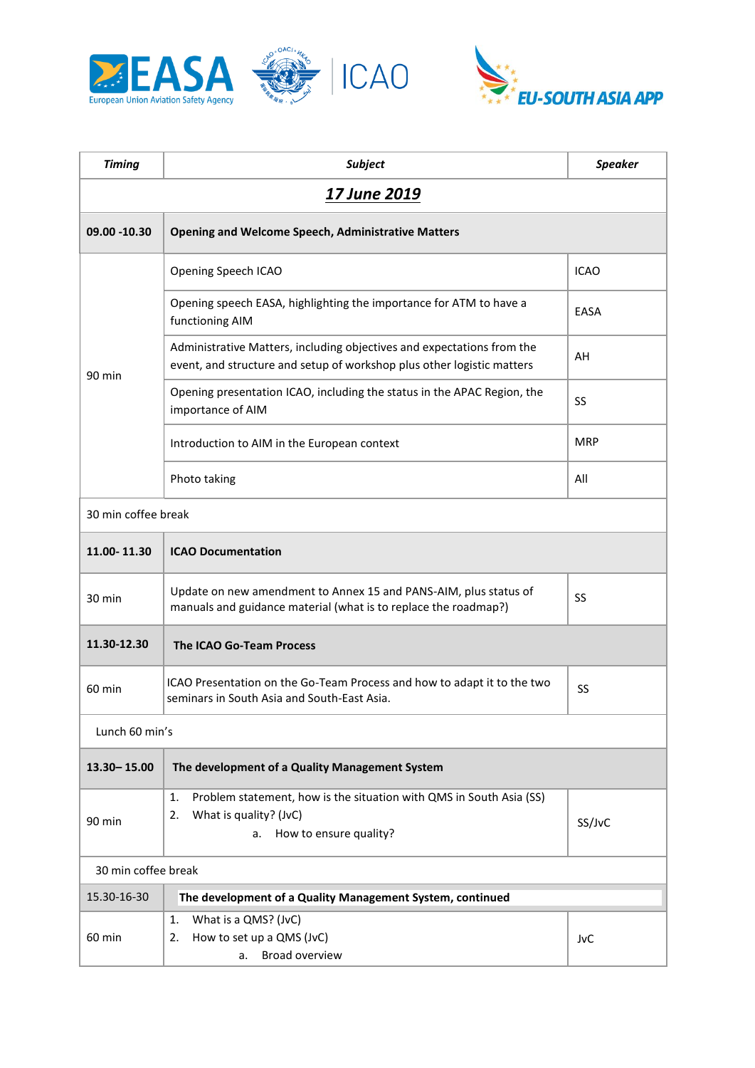



| <b>Timing</b>       | <b>Subject</b>                                                                                                                                   | <b>Speaker</b> |  |
|---------------------|--------------------------------------------------------------------------------------------------------------------------------------------------|----------------|--|
| 17 June 2019        |                                                                                                                                                  |                |  |
| 09.00 -10.30        | <b>Opening and Welcome Speech, Administrative Matters</b>                                                                                        |                |  |
| 90 min              | Opening Speech ICAO                                                                                                                              | <b>ICAO</b>    |  |
|                     | Opening speech EASA, highlighting the importance for ATM to have a<br>functioning AIM                                                            | EASA           |  |
|                     | Administrative Matters, including objectives and expectations from the<br>event, and structure and setup of workshop plus other logistic matters | AH             |  |
|                     | Opening presentation ICAO, including the status in the APAC Region, the<br>importance of AIM                                                     | SS             |  |
|                     | Introduction to AIM in the European context                                                                                                      | <b>MRP</b>     |  |
|                     | Photo taking                                                                                                                                     | All            |  |
| 30 min coffee break |                                                                                                                                                  |                |  |
| 11.00-11.30         | <b>ICAO Documentation</b>                                                                                                                        |                |  |
| 30 min              | Update on new amendment to Annex 15 and PANS-AIM, plus status of<br>manuals and guidance material (what is to replace the roadmap?)              | SS             |  |
| 11.30-12.30         | <b>The ICAO Go-Team Process</b>                                                                                                                  |                |  |
| 60 min              | ICAO Presentation on the Go-Team Process and how to adapt it to the two<br>seminars in South Asia and South-East Asia.                           | SS             |  |
| Lunch 60 min's      |                                                                                                                                                  |                |  |
| $13.30 - 15.00$     | The development of a Quality Management System                                                                                                   |                |  |
| 90 min              | Problem statement, how is the situation with QMS in South Asia (SS)<br>1.<br>What is quality? (JvC)<br>2.<br>How to ensure quality?<br>a.        | SS/JvC         |  |
| 30 min coffee break |                                                                                                                                                  |                |  |
| 15.30-16-30         | The development of a Quality Management System, continued                                                                                        |                |  |
| 60 min              | What is a QMS? (JvC)<br>1.<br>How to set up a QMS (JvC)<br>2.<br>Broad overview<br>a.                                                            | JvC            |  |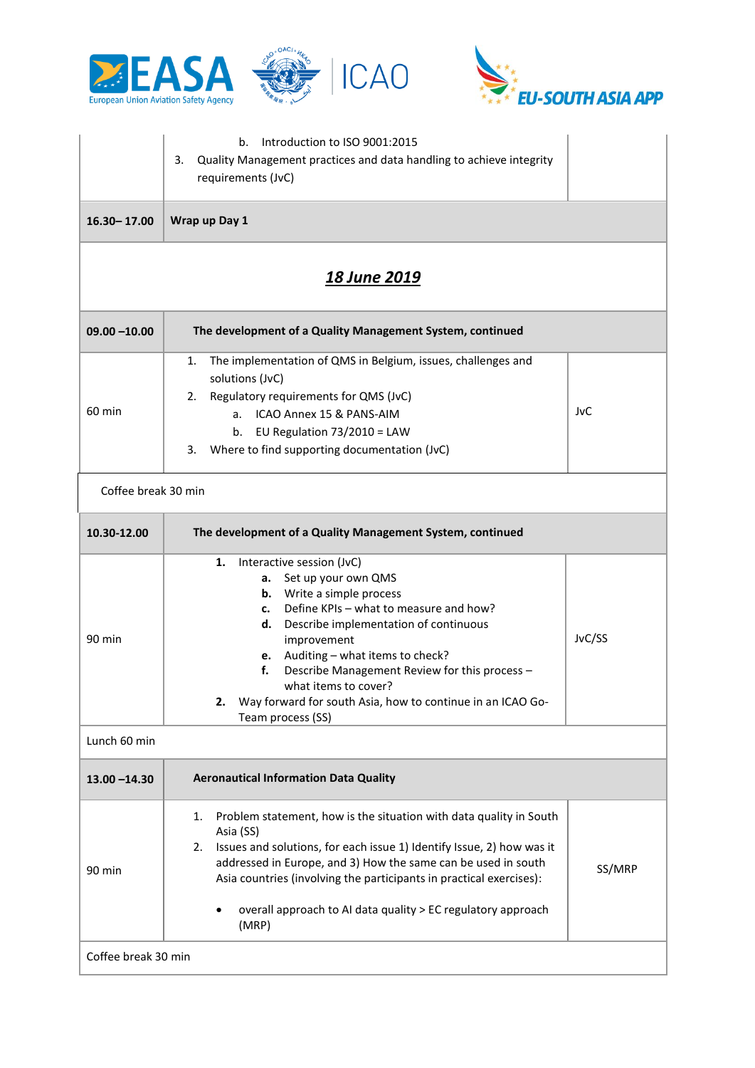



|                     | Introduction to ISO 9001:2015<br>b.<br>3.<br>Quality Management practices and data handling to achieve integrity<br>requirements (JvC)                                                                                                                                                                                                                                                                                    |        |  |  |
|---------------------|---------------------------------------------------------------------------------------------------------------------------------------------------------------------------------------------------------------------------------------------------------------------------------------------------------------------------------------------------------------------------------------------------------------------------|--------|--|--|
| $16.30 - 17.00$     | Wrap up Day 1                                                                                                                                                                                                                                                                                                                                                                                                             |        |  |  |
| <u>18 June 2019</u> |                                                                                                                                                                                                                                                                                                                                                                                                                           |        |  |  |
| $09.00 - 10.00$     | The development of a Quality Management System, continued                                                                                                                                                                                                                                                                                                                                                                 |        |  |  |
| 60 min              | The implementation of QMS in Belgium, issues, challenges and<br>1.<br>solutions (JvC)<br>Regulatory requirements for QMS (JvC)<br>2.<br>ICAO Annex 15 & PANS-AIM<br>a.<br>EU Regulation 73/2010 = LAW<br>b.<br>Where to find supporting documentation (JvC)<br>3.                                                                                                                                                         | JvC    |  |  |
| Coffee break 30 min |                                                                                                                                                                                                                                                                                                                                                                                                                           |        |  |  |
| 10.30-12.00         | The development of a Quality Management System, continued                                                                                                                                                                                                                                                                                                                                                                 |        |  |  |
| 90 min              | Interactive session (JvC)<br>1.<br>a. Set up your own QMS<br><b>b.</b> Write a simple process<br>Define KPIs - what to measure and how?<br>c.<br>Describe implementation of continuous<br>d.<br>improvement<br>e. Auditing - what items to check?<br>Describe Management Review for this process -<br>f.<br>what items to cover?<br>Way forward for south Asia, how to continue in an ICAO Go-<br>z.<br>Team process (SS) | JvC/SS |  |  |
| Lunch 60 min        |                                                                                                                                                                                                                                                                                                                                                                                                                           |        |  |  |
| $13.00 - 14.30$     | <b>Aeronautical Information Data Quality</b>                                                                                                                                                                                                                                                                                                                                                                              |        |  |  |
| 90 min              | Problem statement, how is the situation with data quality in South<br>1.<br>Asia (SS)<br>Issues and solutions, for each issue 1) Identify Issue, 2) how was it<br>2.<br>addressed in Europe, and 3) How the same can be used in south<br>Asia countries (involving the participants in practical exercises):<br>overall approach to AI data quality > EC regulatory approach<br>(MRP)                                     | SS/MRP |  |  |
| Coffee break 30 min |                                                                                                                                                                                                                                                                                                                                                                                                                           |        |  |  |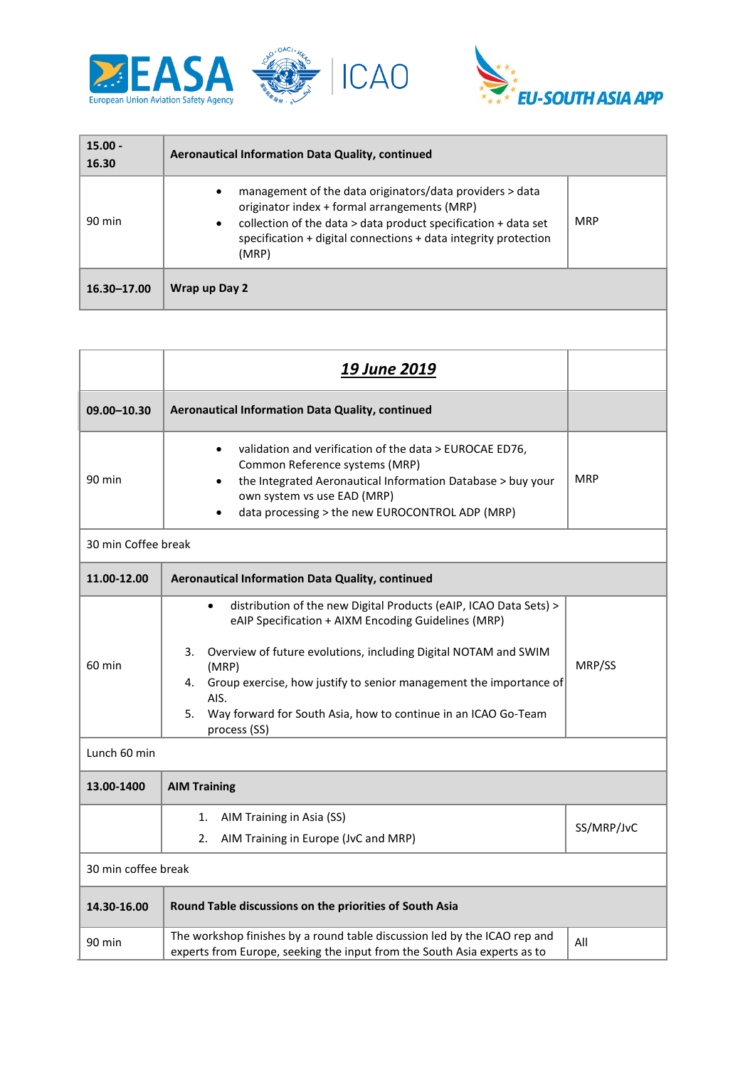



| $15.00 -$<br>16.30 | Aeronautical Information Data Quality, continued                                                                                                                                                                                                                                     |            |
|--------------------|--------------------------------------------------------------------------------------------------------------------------------------------------------------------------------------------------------------------------------------------------------------------------------------|------------|
| 90 min             | management of the data originators/data providers > data<br>$\bullet$<br>originator index + formal arrangements (MRP)<br>collection of the data $>$ data product specification $+$ data set<br>$\bullet$<br>specification + digital connections + data integrity protection<br>(MRP) | <b>MRP</b> |
| 16.30-17.00        | Wrap up Day 2                                                                                                                                                                                                                                                                        |            |

|                     | <b>19 June 2019</b>                                                                                                                                                                                                                                                                                                                                                                                 |            |  |
|---------------------|-----------------------------------------------------------------------------------------------------------------------------------------------------------------------------------------------------------------------------------------------------------------------------------------------------------------------------------------------------------------------------------------------------|------------|--|
| 09.00-10.30         | Aeronautical Information Data Quality, continued                                                                                                                                                                                                                                                                                                                                                    |            |  |
| 90 min              | validation and verification of the data > EUROCAE ED76,<br>$\bullet$<br>Common Reference systems (MRP)<br>the Integrated Aeronautical Information Database > buy your<br>own system vs use EAD (MRP)<br>data processing > the new EUROCONTROL ADP (MRP)                                                                                                                                             | <b>MRP</b> |  |
| 30 min Coffee break |                                                                                                                                                                                                                                                                                                                                                                                                     |            |  |
| 11.00-12.00         | Aeronautical Information Data Quality, continued                                                                                                                                                                                                                                                                                                                                                    |            |  |
| 60 min              | distribution of the new Digital Products (eAIP, ICAO Data Sets) ><br>$\bullet$<br>eAIP Specification + AIXM Encoding Guidelines (MRP)<br>Overview of future evolutions, including Digital NOTAM and SWIM<br>3.<br>(MRP)<br>Group exercise, how justify to senior management the importance of<br>4.<br>AIS.<br>5.<br>Way forward for South Asia, how to continue in an ICAO Go-Team<br>process (SS) | MRP/SS     |  |
| Lunch 60 min        |                                                                                                                                                                                                                                                                                                                                                                                                     |            |  |
| 13.00-1400          | <b>AIM Training</b>                                                                                                                                                                                                                                                                                                                                                                                 |            |  |
|                     | AIM Training in Asia (SS)<br>1.<br>2.<br>AIM Training in Europe (JvC and MRP)                                                                                                                                                                                                                                                                                                                       | SS/MRP/JvC |  |
| 30 min coffee break |                                                                                                                                                                                                                                                                                                                                                                                                     |            |  |
| 14.30-16.00         | Round Table discussions on the priorities of South Asia                                                                                                                                                                                                                                                                                                                                             |            |  |
| 90 min              | The workshop finishes by a round table discussion led by the ICAO rep and<br>experts from Europe, seeking the input from the South Asia experts as to                                                                                                                                                                                                                                               | All        |  |